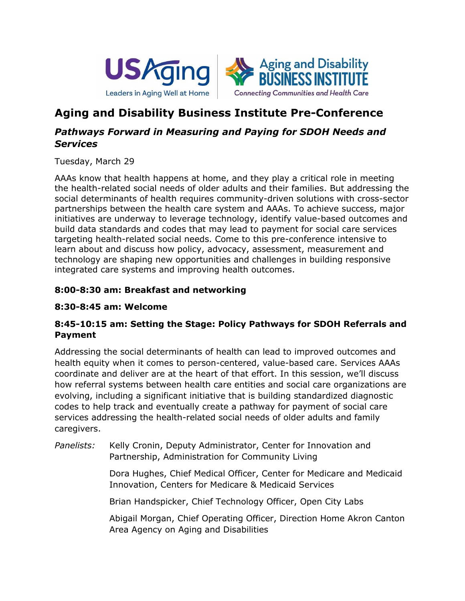



# **Aging and Disability Business Institute Pre-Conference**

# *Pathways Forward in Measuring and Paying for SDOH Needs and Services*

Tuesday, March 29

AAAs know that health happens at home, and they play a critical role in meeting the health-related social needs of older adults and their families. But addressing the social determinants of health requires community-driven solutions with cross-sector partnerships between the health care system and AAAs. To achieve success, major initiatives are underway to leverage technology, identify value-based outcomes and build data standards and codes that may lead to payment for social care services targeting health-related social needs. Come to this pre-conference intensive to learn about and discuss how policy, advocacy, assessment, measurement and technology are shaping new opportunities and challenges in building responsive integrated care systems and improving health outcomes.

# **8:00-8:30 am: Breakfast and networking**

## **8:30-8:45 am: Welcome**

# **8:45-10:15 am: Setting the Stage: Policy Pathways for SDOH Referrals and Payment**

Addressing the social determinants of health can lead to improved outcomes and health equity when it comes to person-centered, value-based care. Services AAAs coordinate and deliver are at the heart of that effort. In this session, we'll discuss how referral systems between health care entities and social care organizations are evolving, including a significant initiative that is building standardized diagnostic codes to help track and eventually create a pathway for payment of social care services addressing the health-related social needs of older adults and family caregivers.

*Panelists:* Kelly Cronin, Deputy Administrator, Center for Innovation and Partnership, Administration for Community Living

> Dora Hughes, Chief Medical Officer, Center for Medicare and Medicaid Innovation, Centers for Medicare & Medicaid Services

Brian Handspicker, Chief Technology Officer, Open City Labs

Abigail Morgan, Chief Operating Officer, Direction Home Akron Canton Area Agency on Aging and Disabilities